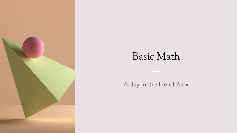

# Basic Math

### A day in the life of Alex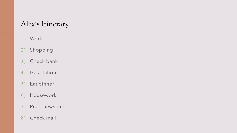## Alex's Itinerary

- 1) Work
- 2) Shopping
- 3) Check bank
- 4) Gas station
- 5) Eat dinner
- Housework 6)
- Read newspaper 7)
- 8) Check mail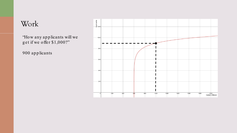### Work

'How any applicants will we get if we offer \$1,000?"

900 applicants

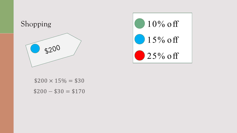



 $$200 \times 15\% = $30$  $$200 - $30 = $170$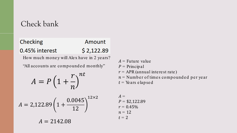### Check bank

### Checking Amount  $$2,122.89$ 0.45% interest

How much money will Alex have in 2 years?

"All accounts are compounded monthly"

$$
A = P\left(1 + \frac{r}{n}\right)^{nt}
$$

$$
A = 2,122.89 \left( 1 + \frac{0.0045}{12} \right)^{12 \times 2}
$$

 $A = 2142.08$ 

 $A =$  Future value  $P = \text{Principleal}$  $r = APR$  (annual interest rate)  $n =$  Number of times compounded per year  $t =$ Years e lap sed

$$
A =P = $2,122.89r = 0.45%n = 12t = 2
$$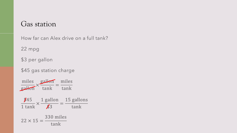### Gas station

How far can Alex drive on a full tank?

22 mpg

\$3 per gallon

\$45 gas station charge

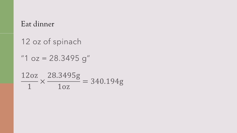### Eat dinner

12 oz of spinach

"1  $oz = 28.3495 g''$ 

$$
\frac{12oz}{1} \times \frac{28.3495g}{1oz} = 340.194g
$$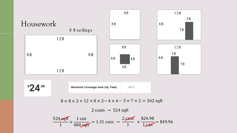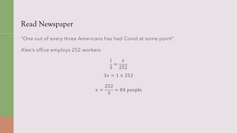### Read Newspaper

"One out of every three Americans has had Covid at some point"

Alex's office employs 252 workers

$$
\frac{1}{3} = \frac{x}{252}
$$
  
3x = 1 × 252  

$$
x = \frac{252}{3} = 84 \text{ people}
$$